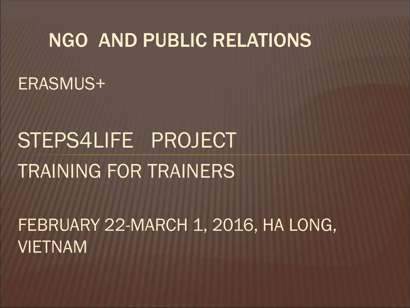#### NGO AND PUBLIC RELATIONS

ERASMUS+

# STEPS4LIFE PROJECT TRAINING FOR TRAINERS

FEBRUARY 22-MARCH 1, 2016, HA LONG, VIETNAM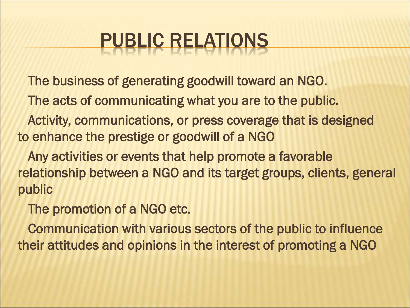# PUBLIC RELATIONS

The business of generating goodwill toward an NGO.

The acts of communicating what you are to the public.

Activity, communications, or press coverage that is designed to enhance the prestige or goodwill of a NGO

Any activities or events that help promote a favorable relationship between a NGO and its target groups, clients, general public

The promotion of a NGO etc.

Communication with various sectors of the public to influence their attitudes and opinions in the interest of promoting a NGO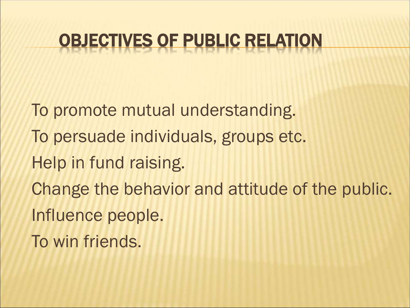# OBJECTIVES OF PUBLIC RELATION

To promote mutual understanding. To persuade individuals, groups etc. Help in fund raising. Change the behavior and attitude of the public. Influence people. To win friends.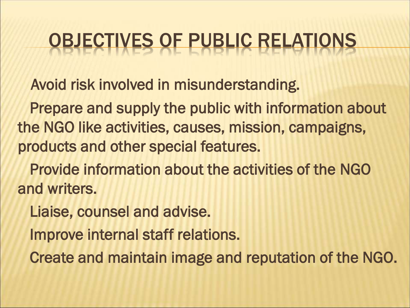# OBJECTIVES OF PUBLIC RELATIONS

Avoid risk involved in misunderstanding.

Prepare and supply the public with information about the NGO like activities, causes, mission, campaigns, products and other special features.

Provide information about the activities of the NGO and writers.

Liaise, counsel and advise.

Improve internal staff relations.

Create and maintain image and reputation of the NGO.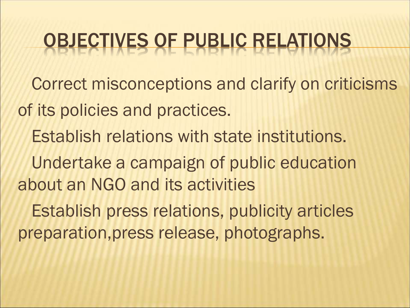# OBJECTIVES OF PUBLIC RELATIONS

Correct misconceptions and clarify on criticisms of its policies and practices. Establish relations with state institutions. Undertake a campaign of public education about an NGO and its activities Establish press relations, publicity articles

preparation,press release, photographs.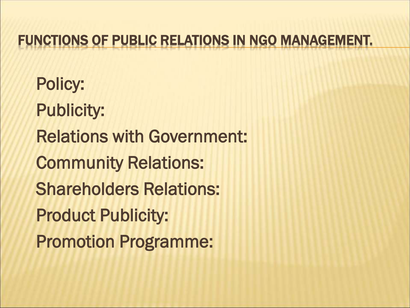#### FUNCTIONS OF PUBLIC RELATIONS IN NGO MANAGEMENT.

Policy: Publicity: Relations with Government: Community Relations: Shareholders Relations: Product Publicity: Promotion Programme: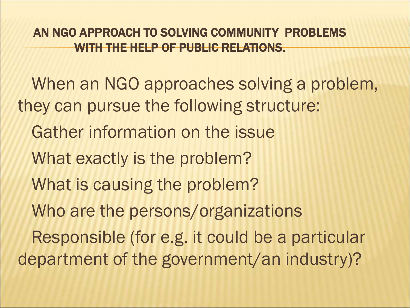When an NGO approaches solving a problem, they can pursue the following structure: Gather information on the issue What exactly is the problem? What is causing the problem? Who are the persons/organizations Responsible (for e.g. it could be a particular department of the government/an industry)?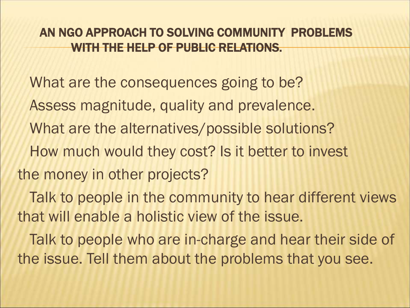What are the consequences going to be? Assess magnitude, quality and prevalence. What are the alternatives/possible solutions? How much would they cost? Is it better to invest the money in other projects?

Talk to people in the community to hear different views that will enable a holistic view of the issue.

Talk to people who are in-charge and hear their side of the issue. Tell them about the problems that you see.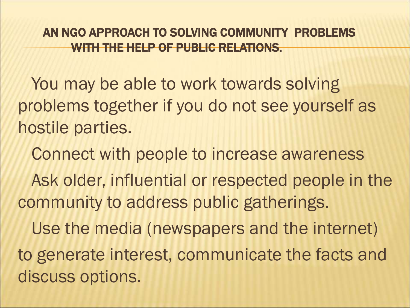You may be able to work towards solving problems together if you do not see yourself as hostile parties.

Connect with people to increase awareness Ask older, influential or respected people in the community to address public gatherings. Use the media (newspapers and the internet) to generate interest, communicate the facts and discuss options.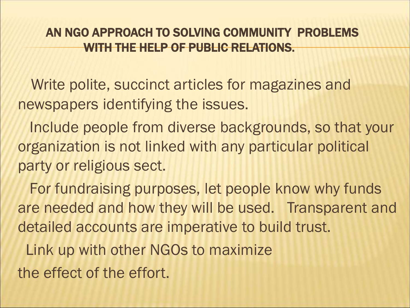Write polite, succinct articles for magazines and newspapers identifying the issues.

Include people from diverse backgrounds, so that your organization is not linked with any particular political party or religious sect.

For fundraising purposes, let people know why funds are needed and how they will be used. Transparent and detailed accounts are imperative to build trust.

Link up with other NGOs to maximize

the effect of the effort.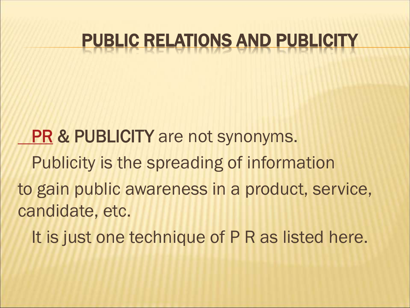# PUBLIC RELATIONS AND PUBLICITY

[PR](http://en.wikipedia.org/wiki/Publicity) & PUBLICITY are not synonyms. Publicity is the spreading of information to gain public awareness in a product, service, candidate, etc.

It is just one technique of P R as listed here.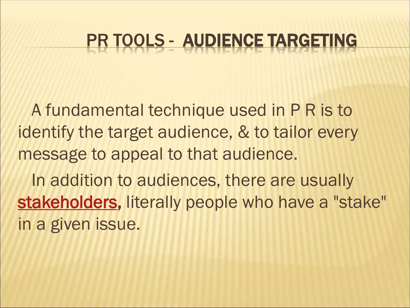## PR TOOLS - AUDIENCE TARGETING

A fundamental technique used in P R is to identify the target audience, & to tailor every message to appeal to that audience.

In addition to audiences, there are usually [stakeholders](http://en.wikipedia.org/wiki/Stakeholder), literally people who have a "stake" in a given issue.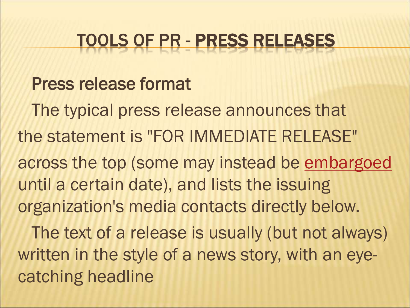# TOOLS OF PR - PRESS RELEASES

#### Press release format

The typical press release announces that the statement is "FOR IMMEDIATE RELEASE" across the top (some may instead be [embargoed](http://en.wikipedia.org/wiki/Embargo) until a certain date), and lists the issuing organization's media contacts directly below.

The text of a release is usually (but not always) written in the style of a news story, with an eyecatching headline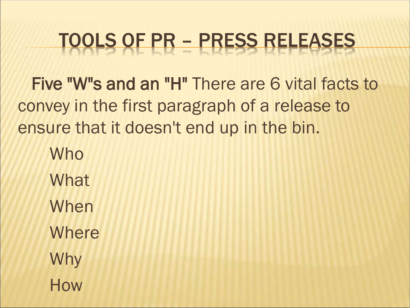# TOOLS OF PR – PRESS RELEASES

Five "W"s and an "H" There are 6 vital facts to convey in the first paragraph of a release to ensure that it doesn't end up in the bin.

Who **What** When **Where** Why **How**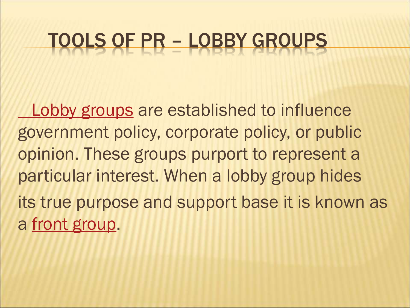# TOOLS OF PR – LOBBY GROUPS

[Lobby groups](http://en.wikipedia.org/wiki/Lobby_group) are established to influence government policy, corporate policy, or public opinion. These groups purport to represent a particular interest. When a lobby group hides its true purpose and support base it is known as a [front group](http://en.wikipedia.org/wiki/Front_group).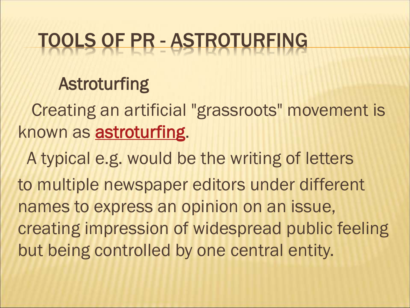# TOOLS OF PR - ASTROTURFING

### Astroturfing

Creating an artificial "grassroots" movement is known as [astroturfing](http://en.wikipedia.org/wiki/Astroturfing).

A typical e.g. would be the writing of letters to multiple newspaper editors under different names to express an opinion on an issue, creating impression of widespread public feeling but being controlled by one central entity.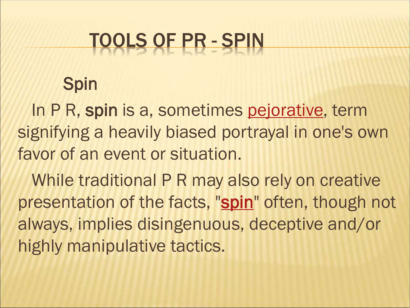# TOOLS OF PR - SPIN

### Spin

In P R, spin is a, sometimes [pejorative,](http://en.wikipedia.org/wiki/Pejorative) term signifying a heavily biased portrayal in one's own favor of an event or situation.

While traditional P R may also rely on creative presentation of the facts, ["spin"](http://en.wikipedia.org/wiki/Spin_%28public_relations%29) often, though not always, implies disingenuous, deceptive and/or highly manipulative tactics.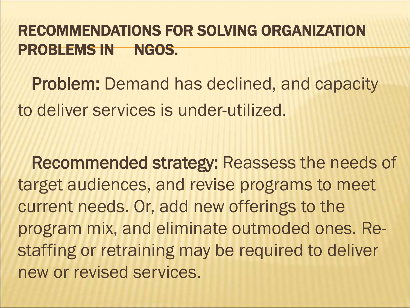Problem: Demand has declined, and capacity to deliver services is under-utilized.

Recommended strategy: Reassess the needs of target audiences, and revise programs to meet current needs. Or, add new offerings to the program mix, and eliminate outmoded ones. Restaffing or retraining may be required to deliver new or revised services.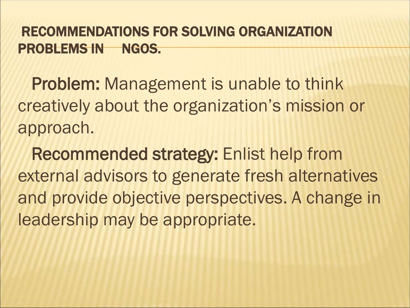Problem: Management is unable to think creatively about the organization's mission or approach.

Recommended strategy: Enlist help from external advisors to generate fresh alternatives and provide objective perspectives. A change in leadership may be appropriate.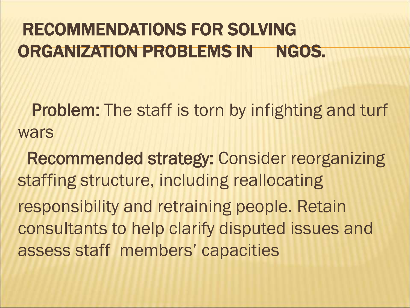Problem: The staff is torn by infighting and turf wars

Recommended strategy: Consider reorganizing staffing structure, including reallocating responsibility and retraining people. Retain consultants to help clarify disputed issues and assess staff members' capacities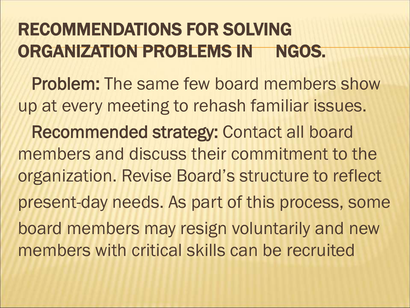Problem: The same few board members show up at every meeting to rehash familiar issues. Recommended strategy: Contact all board members and discuss their commitment to the organization. Revise Board's structure to reflect present-day needs. As part of this process, some board members may resign voluntarily and new members with critical skills can be recruited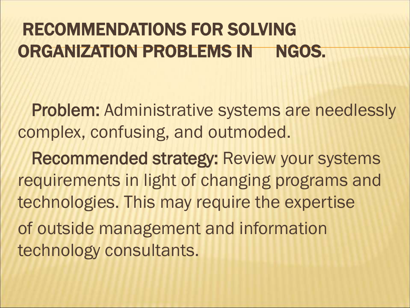Problem: Administrative systems are needlessly complex, confusing, and outmoded.

Recommended strategy: Review your systems requirements in light of changing programs and technologies. This may require the expertise of outside management and information technology consultants.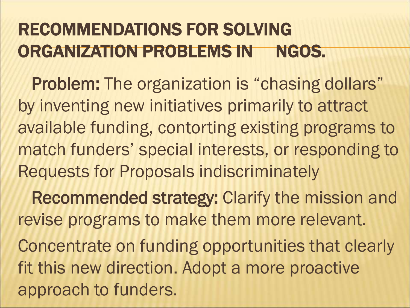Problem: The organization is "chasing dollars" by inventing new initiatives primarily to attract available funding, contorting existing programs to match funders' special interests, or responding to Requests for Proposals indiscriminately

Recommended strategy: Clarify the mission and revise programs to make them more relevant.

Concentrate on funding opportunities that clearly fit this new direction. Adopt a more proactive approach to funders.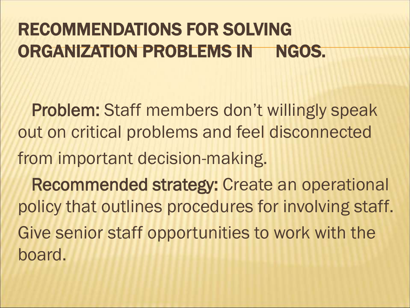Problem: Staff members don't willingly speak out on critical problems and feel disconnected from important decision-making. Recommended strategy: Create an operational policy that outlines procedures for involving staff. Give senior staff opportunities to work with the board.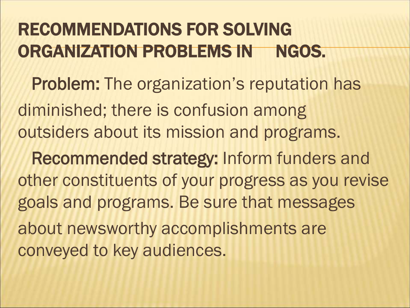Problem: The organization's reputation has diminished; there is confusion among outsiders about its mission and programs.

Recommended strategy: Inform funders and other constituents of your progress as you revise goals and programs. Be sure that messages about newsworthy accomplishments are conveyed to key audiences.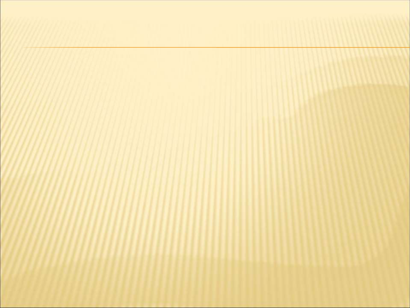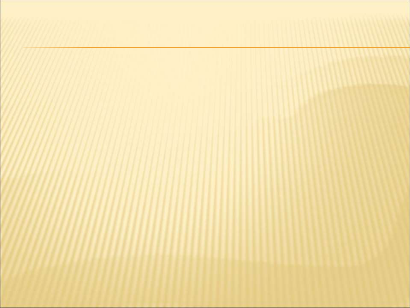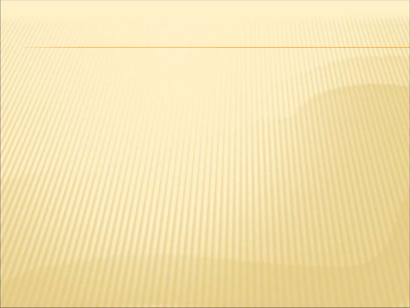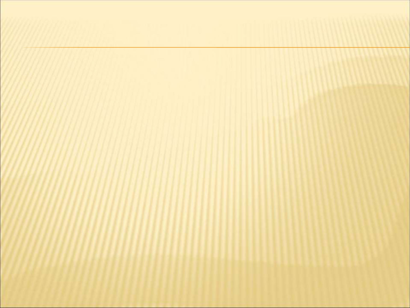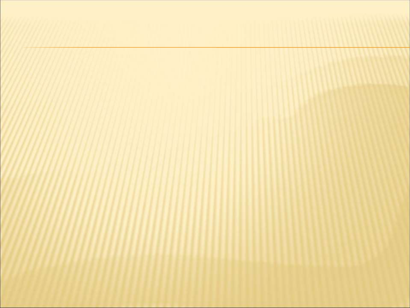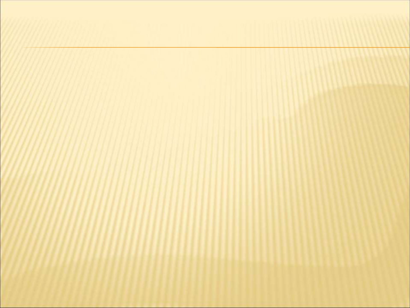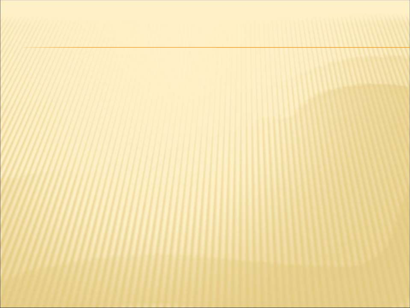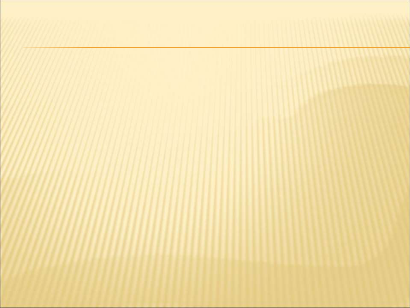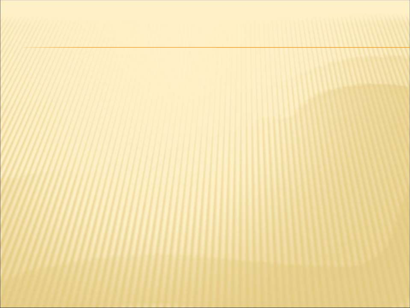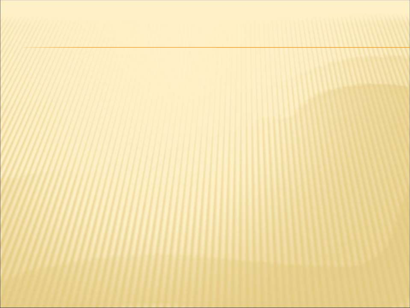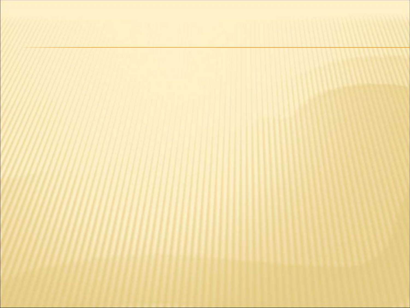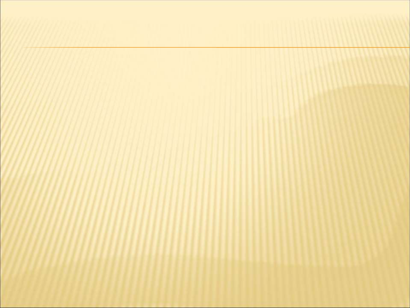